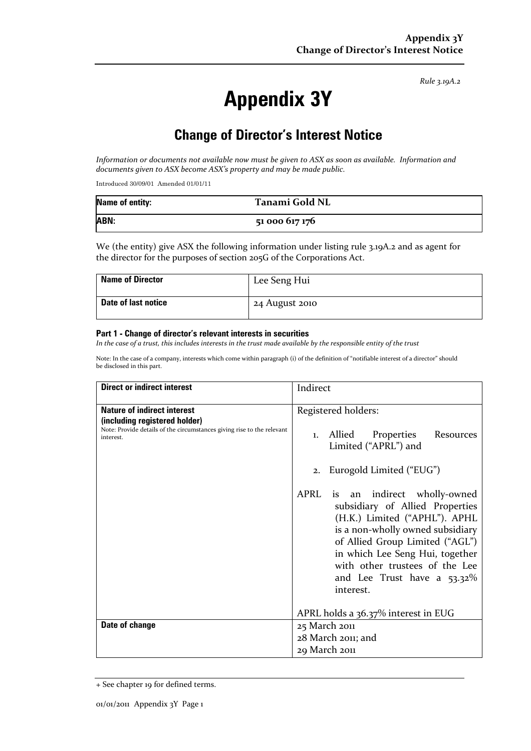*Rule 3.19A.2*

# **Appendix 3Y**

## **Change of Director's Interest Notice**

Information or documents not available now must be given to ASX as soon as available. Information and *documents given to ASX become ASX's property and may be made public.*

Introduced 30/09/01 Amended 01/01/11

| <b>Name of entity:</b> | Tanami Gold NL |
|------------------------|----------------|
| ABN:                   | 51 000 617 176 |

We (the entity) give ASX the following information under listing rule 3.19A.2 and as agent for the director for the purposes of section 205G of the Corporations Act.

| <b>Name of Director</b> | Lee Seng Hui   |
|-------------------------|----------------|
| Date of last notice     | 24 August 2010 |

#### **Part 1 - Change of director's relevant interests in securities**

In the case of a trust, this includes interests in the trust made available by the responsible entity of the trust

Note: In the case of a company, interests which come within paragraph (i) of the definition of "notifiable interest of a director" should be disclosed in this part.

| <b>Direct or indirect interest</b>                                                                                                                         | Indirect                                                                                                                                                                                                                                                                                                                                                                                                                                |
|------------------------------------------------------------------------------------------------------------------------------------------------------------|-----------------------------------------------------------------------------------------------------------------------------------------------------------------------------------------------------------------------------------------------------------------------------------------------------------------------------------------------------------------------------------------------------------------------------------------|
| <b>Nature of indirect interest</b><br>(including registered holder)<br>Note: Provide details of the circumstances giving rise to the relevant<br>interest. | Registered holders:<br>Allied<br>Properties Resources<br>$\mathbf{1}$ .<br>Limited ("APRL") and<br>Eurogold Limited ("EUG")<br>2.<br>APRL<br>is an indirect wholly-owned<br>subsidiary of Allied Properties<br>(H.K.) Limited ("APHL"). APHL<br>is a non-wholly owned subsidiary<br>of Allied Group Limited ("AGL")<br>in which Lee Seng Hui, together<br>with other trustees of the Lee<br>and Lee Trust have a $53.32\%$<br>interest. |
| Date of change                                                                                                                                             | APRL holds a 36.37% interest in EUG<br>25 March 2011<br>28 March 2011; and                                                                                                                                                                                                                                                                                                                                                              |
|                                                                                                                                                            | 29 March 2011                                                                                                                                                                                                                                                                                                                                                                                                                           |

<sup>+</sup> See chapter 19 for defined terms.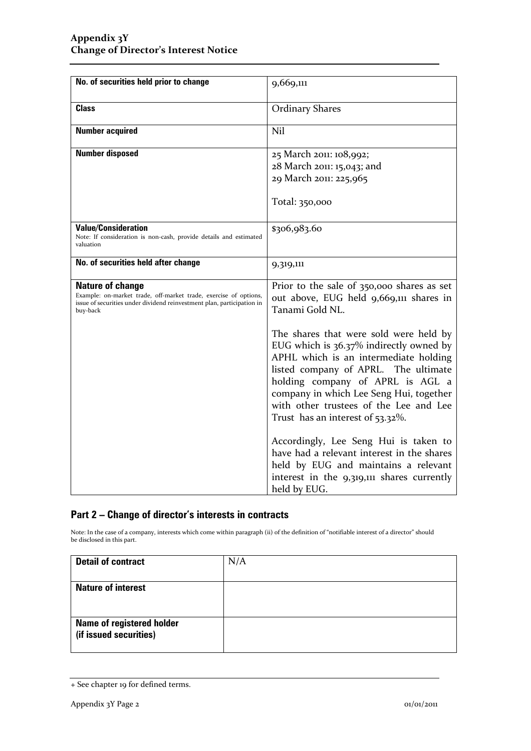| No. of securities held prior to change                                                                                                                                            | 9,669,111                                                                                                                                                                                                                                                                                                                           |
|-----------------------------------------------------------------------------------------------------------------------------------------------------------------------------------|-------------------------------------------------------------------------------------------------------------------------------------------------------------------------------------------------------------------------------------------------------------------------------------------------------------------------------------|
| <b>Class</b>                                                                                                                                                                      | <b>Ordinary Shares</b>                                                                                                                                                                                                                                                                                                              |
| <b>Number acquired</b>                                                                                                                                                            | Nil                                                                                                                                                                                                                                                                                                                                 |
| <b>Number disposed</b>                                                                                                                                                            | 25 March 2011: 108,992;<br>28 March 2011: 15,043; and<br>29 March 2011: 225,965<br>Total: 350,000                                                                                                                                                                                                                                   |
| <b>Value/Consideration</b><br>Note: If consideration is non-cash, provide details and estimated<br>valuation                                                                      | \$306,983.60                                                                                                                                                                                                                                                                                                                        |
| No. of securities held after change                                                                                                                                               | 9,319,111                                                                                                                                                                                                                                                                                                                           |
| <b>Nature of change</b><br>Example: on-market trade, off-market trade, exercise of options,<br>issue of securities under dividend reinvestment plan, participation in<br>buy-back | Prior to the sale of 350,000 shares as set<br>out above, EUG held 9,669,111 shares in<br>Tanami Gold NL.                                                                                                                                                                                                                            |
|                                                                                                                                                                                   | The shares that were sold were held by<br>EUG which is 36.37% indirectly owned by<br>APHL which is an intermediate holding<br>listed company of APRL. The ultimate<br>holding company of APRL is AGL a<br>company in which Lee Seng Hui, together<br>with other trustees of the Lee and Lee<br>Trust has an interest of $53.32\%$ . |
|                                                                                                                                                                                   | Accordingly, Lee Seng Hui is taken to<br>have had a relevant interest in the shares<br>held by EUG and maintains a relevant<br>interest in the 9,319,111 shares currently<br>held by EUG.                                                                                                                                           |

### **Part 2 – Change of director's interests in contracts**

Note: In the case of a company, interests which come within paragraph (ii) of the definition of "notifiable interest of a director" should be disclosed in this part.

| <b>Detail of contract</b>        | N/A |
|----------------------------------|-----|
|                                  |     |
| <b>Nature of interest</b>        |     |
|                                  |     |
|                                  |     |
|                                  |     |
| <b>Name of registered holder</b> |     |
|                                  |     |
|                                  |     |
| (if issued securities)           |     |

<sup>+</sup> See chapter 19 for defined terms.